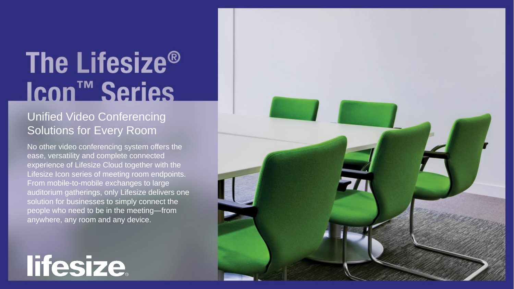#### The Lifesize<sup>®</sup> Icon<sup>™</sup> Series

#### Unified Video Conferencing Solutions for Every Room

No other video conferencing system offers the ease, versatility and complete connected experience of Lifesize Cloud together with the Lifesize Icon series of meeting room endpoints. From mobile-to-mobile exchanges to large auditorium gatherings, only Lifesize delivers one solution for businesses to simply connect the people who need to be in the meeting—from anywhere, any room and any device.

lifesize.

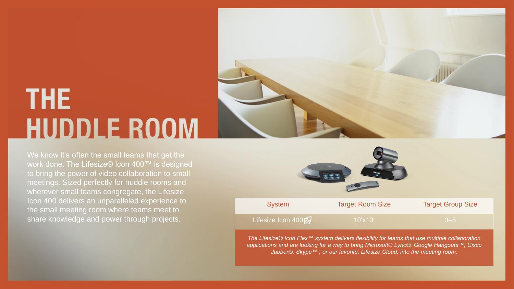# **THE HUDDLE ROOM**

We know it's often the small teams that get the work done. The Lifesize® Icon 400™ is designed to bring the power of video collaboration to small meetings. Sized perfectly for huddle rooms and wherever small teams congregate, the Lifesize Icon 400 delivers an unparalleled experience to the small meeting room where teams meet to share knowledge and power through projects.





*The Lifesize® Icon Flex™ system delivers flexibility for teams that use multiple collaboration applications and are looking for a way to bring Microsoft® Lync®, Google Hangouts™, Cisco Jabber®, Skype™ , or our favorite, Lifesize Cloud, into the meeting room.*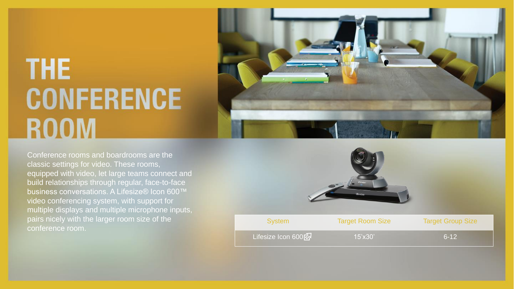### **THE CONFERENCE ROOM**



Conference rooms and boardrooms are the classic settings for video. These rooms, equipped with video, let large teams connect and build relationships through regular, face -to -face business conversations. A Lifesize® Icon 600™ video conferencing system, with support for multiple displays and multiple microphone inputs, conference room.



| <b>System</b>     | <b>Target Room Size</b> | <b>Target Group Size</b> |
|-------------------|-------------------------|--------------------------|
| Lifesize Icon 600 | $15'$ x $30'$           | $6-12$                   |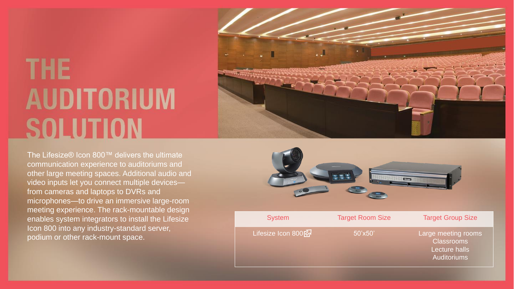### **THE AUDITORIUM SOLUTION**

The Lifesize® Icon 800™ delivers the ultimate communication experience to auditoriums and other large meeting spaces. Additional audio and video inputs let you connect multiple devices from cameras and laptops to DVRs and microphones —to drive an immersive large -room meeting experience. The rack -mountable design enables system integrators to install the Lifesize Icon 800 into any industry -standard server, podium or other rack -mount space.





Lecture halls Auditoriums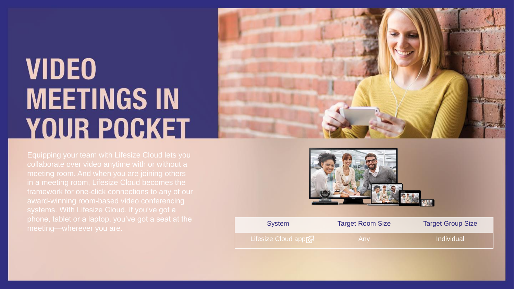## **VIDEO MEETINGS IN YOUR POCKET**





| priorie, tablet or a laptop, you ve got a seat at the<br>meeting—wherever you are. | <b>System</b>        | <b>Target Room Size</b> | <b>Target Group Size</b> |
|------------------------------------------------------------------------------------|----------------------|-------------------------|--------------------------|
|                                                                                    | Lifesize Cloud appty |                         | Individual               |